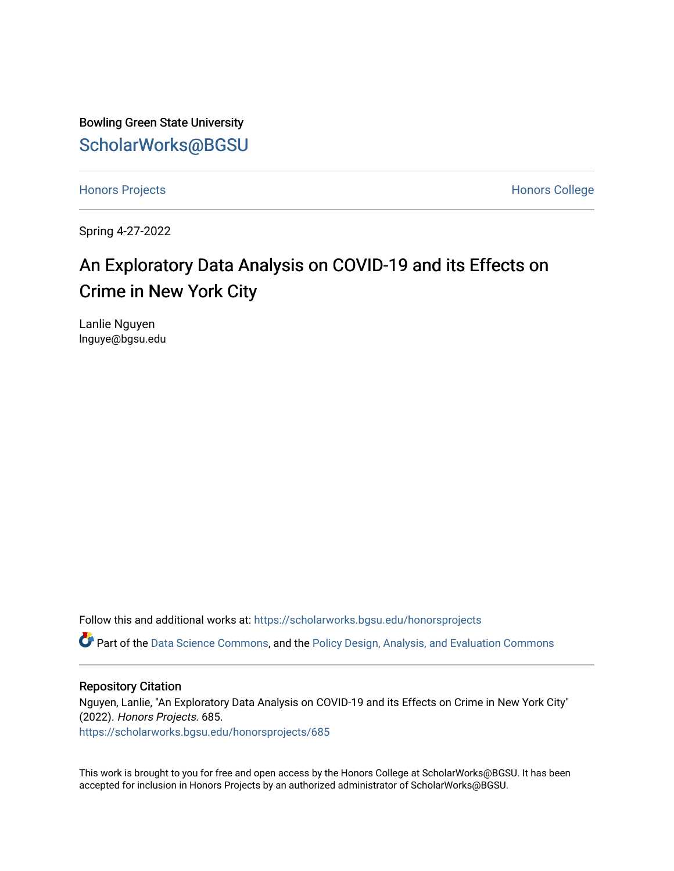Bowling Green State University [ScholarWorks@BGSU](https://scholarworks.bgsu.edu/) 

[Honors Projects](https://scholarworks.bgsu.edu/honorsprojects) **Honors** College

Spring 4-27-2022

# An Exploratory Data Analysis on COVID-19 and its Effects on Crime in New York City

Lanlie Nguyen lnguye@bgsu.edu

Follow this and additional works at: [https://scholarworks.bgsu.edu/honorsprojects](https://scholarworks.bgsu.edu/honorsprojects?utm_source=scholarworks.bgsu.edu%2Fhonorsprojects%2F685&utm_medium=PDF&utm_campaign=PDFCoverPages) 

Part of the [Data Science Commons,](http://network.bepress.com/hgg/discipline/1429?utm_source=scholarworks.bgsu.edu%2Fhonorsprojects%2F685&utm_medium=PDF&utm_campaign=PDFCoverPages) and the [Policy Design, Analysis, and Evaluation Commons](http://network.bepress.com/hgg/discipline/1032?utm_source=scholarworks.bgsu.edu%2Fhonorsprojects%2F685&utm_medium=PDF&utm_campaign=PDFCoverPages) 

# Repository Citation

Nguyen, Lanlie, "An Exploratory Data Analysis on COVID-19 and its Effects on Crime in New York City" (2022). Honors Projects. 685. [https://scholarworks.bgsu.edu/honorsprojects/685](https://scholarworks.bgsu.edu/honorsprojects/685?utm_source=scholarworks.bgsu.edu%2Fhonorsprojects%2F685&utm_medium=PDF&utm_campaign=PDFCoverPages) 

This work is brought to you for free and open access by the Honors College at ScholarWorks@BGSU. It has been accepted for inclusion in Honors Projects by an authorized administrator of ScholarWorks@BGSU.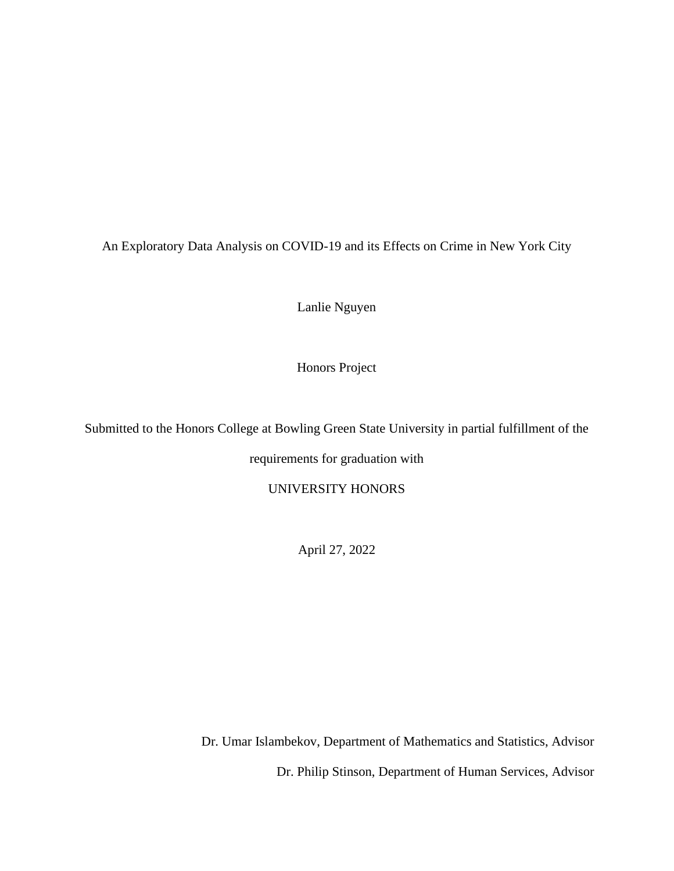An Exploratory Data Analysis on COVID-19 and its Effects on Crime in New York City

Lanlie Nguyen

Honors Project

Submitted to the Honors College at Bowling Green State University in partial fulfillment of the

requirements for graduation with

UNIVERSITY HONORS

April 27, 2022

Dr. Umar Islambekov, Department of Mathematics and Statistics, Advisor Dr. Philip Stinson, Department of Human Services, Advisor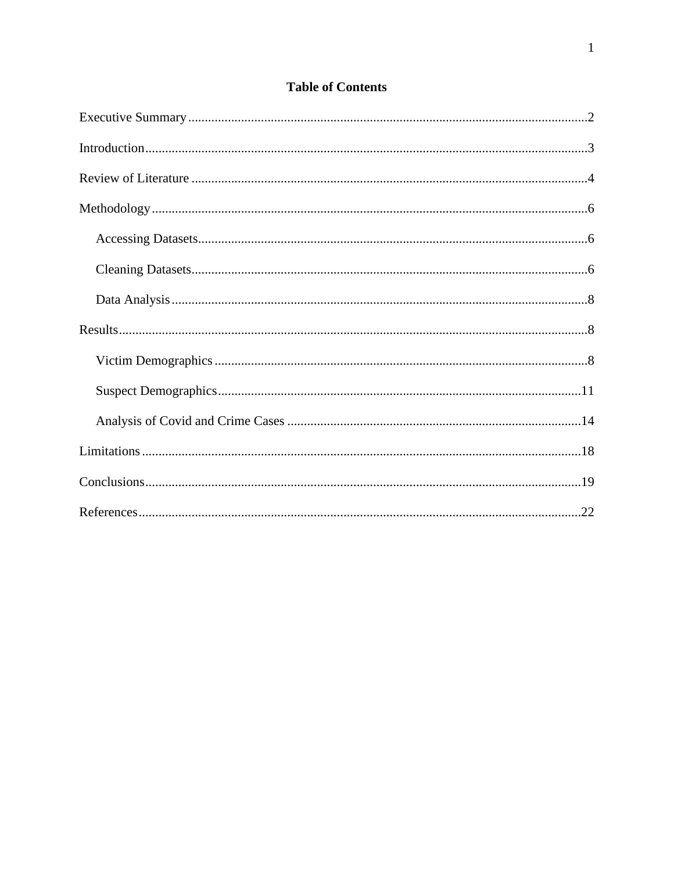| <b>Table of Contents</b> |  |
|--------------------------|--|
|--------------------------|--|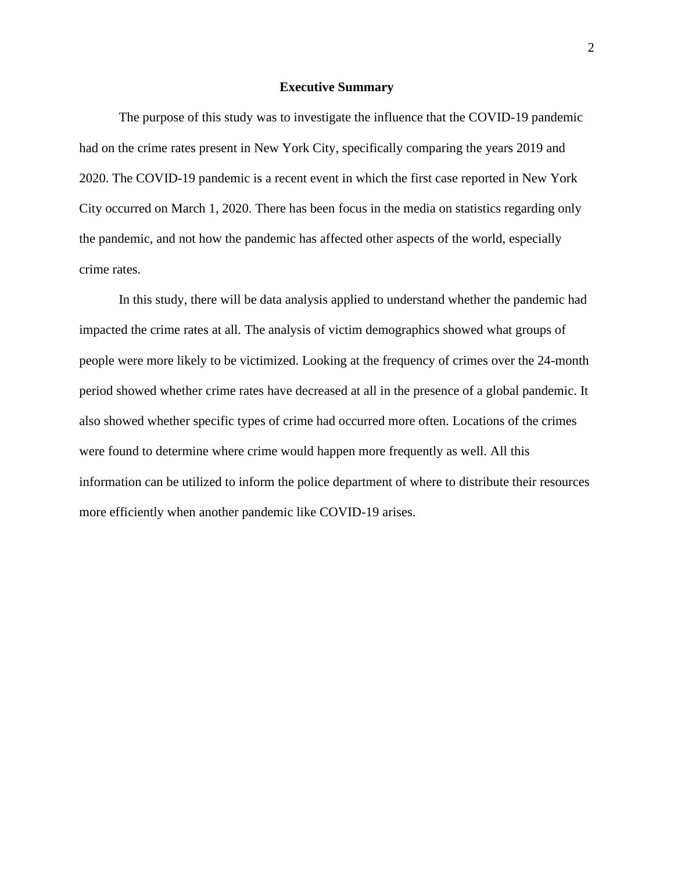### **Executive Summary**

The purpose of this study was to investigate the influence that the COVID-19 pandemic had on the crime rates present in New York City, specifically comparing the years 2019 and 2020. The COVID-19 pandemic is a recent event in which the first case reported in New York City occurred on March 1, 2020. There has been focus in the media on statistics regarding only the pandemic, and not how the pandemic has affected other aspects of the world, especially crime rates.

In this study, there will be data analysis applied to understand whether the pandemic had impacted the crime rates at all. The analysis of victim demographics showed what groups of people were more likely to be victimized. Looking at the frequency of crimes over the 24-month period showed whether crime rates have decreased at all in the presence of a global pandemic. It also showed whether specific types of crime had occurred more often. Locations of the crimes were found to determine where crime would happen more frequently as well. All this information can be utilized to inform the police department of where to distribute their resources more efficiently when another pandemic like COVID-19 arises.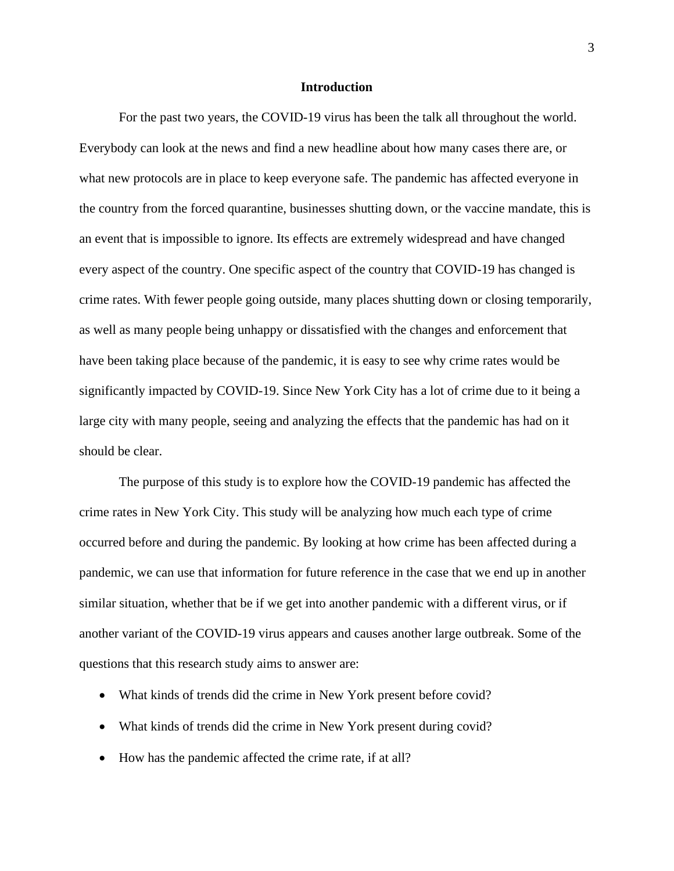### **Introduction**

For the past two years, the COVID-19 virus has been the talk all throughout the world. Everybody can look at the news and find a new headline about how many cases there are, or what new protocols are in place to keep everyone safe. The pandemic has affected everyone in the country from the forced quarantine, businesses shutting down, or the vaccine mandate, this is an event that is impossible to ignore. Its effects are extremely widespread and have changed every aspect of the country. One specific aspect of the country that COVID-19 has changed is crime rates. With fewer people going outside, many places shutting down or closing temporarily, as well as many people being unhappy or dissatisfied with the changes and enforcement that have been taking place because of the pandemic, it is easy to see why crime rates would be significantly impacted by COVID-19. Since New York City has a lot of crime due to it being a large city with many people, seeing and analyzing the effects that the pandemic has had on it should be clear.

The purpose of this study is to explore how the COVID-19 pandemic has affected the crime rates in New York City. This study will be analyzing how much each type of crime occurred before and during the pandemic. By looking at how crime has been affected during a pandemic, we can use that information for future reference in the case that we end up in another similar situation, whether that be if we get into another pandemic with a different virus, or if another variant of the COVID-19 virus appears and causes another large outbreak. Some of the questions that this research study aims to answer are:

- What kinds of trends did the crime in New York present before covid?
- What kinds of trends did the crime in New York present during covid?
- How has the pandemic affected the crime rate, if at all?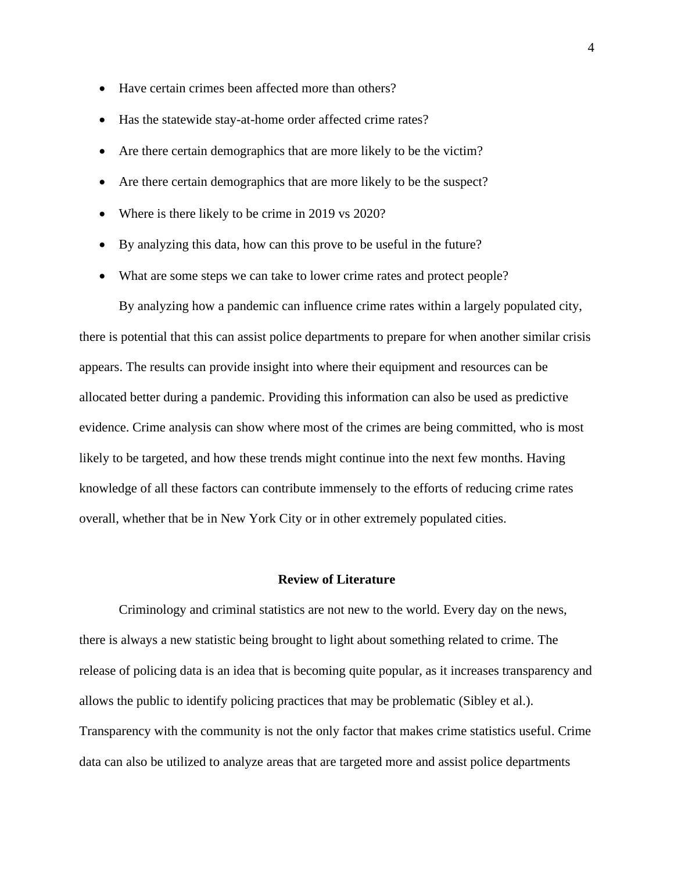- Have certain crimes been affected more than others?
- Has the statewide stay-at-home order affected crime rates?
- Are there certain demographics that are more likely to be the victim?
- Are there certain demographics that are more likely to be the suspect?
- Where is there likely to be crime in 2019 vs 2020?
- By analyzing this data, how can this prove to be useful in the future?
- What are some steps we can take to lower crime rates and protect people?

By analyzing how a pandemic can influence crime rates within a largely populated city, there is potential that this can assist police departments to prepare for when another similar crisis appears. The results can provide insight into where their equipment and resources can be allocated better during a pandemic. Providing this information can also be used as predictive evidence. Crime analysis can show where most of the crimes are being committed, who is most likely to be targeted, and how these trends might continue into the next few months. Having knowledge of all these factors can contribute immensely to the efforts of reducing crime rates overall, whether that be in New York City or in other extremely populated cities.

# **Review of Literature**

Criminology and criminal statistics are not new to the world. Every day on the news, there is always a new statistic being brought to light about something related to crime. The release of policing data is an idea that is becoming quite popular, as it increases transparency and allows the public to identify policing practices that may be problematic (Sibley et al.). Transparency with the community is not the only factor that makes crime statistics useful. Crime data can also be utilized to analyze areas that are targeted more and assist police departments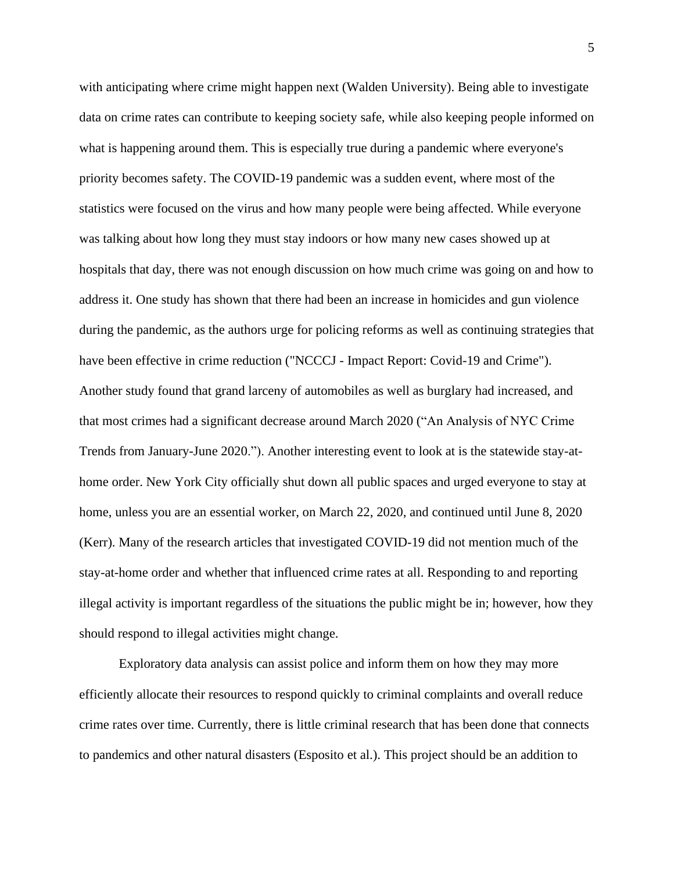with anticipating where crime might happen next (Walden University). Being able to investigate data on crime rates can contribute to keeping society safe, while also keeping people informed on what is happening around them. This is especially true during a pandemic where everyone's priority becomes safety. The COVID-19 pandemic was a sudden event, where most of the statistics were focused on the virus and how many people were being affected. While everyone was talking about how long they must stay indoors or how many new cases showed up at hospitals that day, there was not enough discussion on how much crime was going on and how to address it. One study has shown that there had been an increase in homicides and gun violence during the pandemic, as the authors urge for policing reforms as well as continuing strategies that have been effective in crime reduction ("NCCCJ - Impact Report: Covid-19 and Crime"). Another study found that grand larceny of automobiles as well as burglary had increased, and that most crimes had a significant decrease around March 2020 ("An Analysis of NYC Crime Trends from January-June 2020."). Another interesting event to look at is the statewide stay-athome order. New York City officially shut down all public spaces and urged everyone to stay at home, unless you are an essential worker, on March 22, 2020, and continued until June 8, 2020 (Kerr). Many of the research articles that investigated COVID-19 did not mention much of the stay-at-home order and whether that influenced crime rates at all. Responding to and reporting illegal activity is important regardless of the situations the public might be in; however, how they should respond to illegal activities might change.

Exploratory data analysis can assist police and inform them on how they may more efficiently allocate their resources to respond quickly to criminal complaints and overall reduce crime rates over time. Currently, there is little criminal research that has been done that connects to pandemics and other natural disasters (Esposito et al.). This project should be an addition to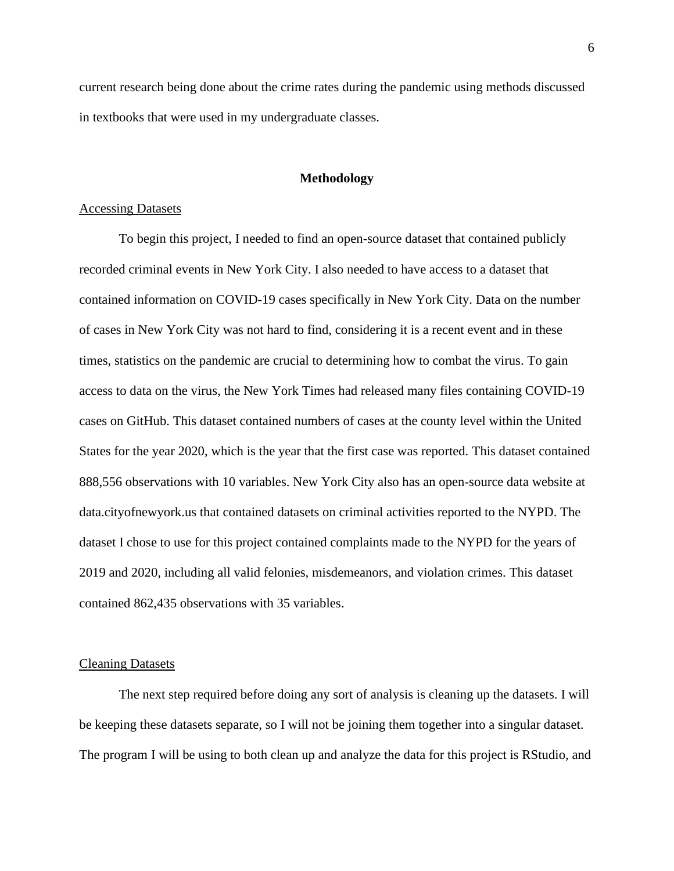current research being done about the crime rates during the pandemic using methods discussed in textbooks that were used in my undergraduate classes.

# **Methodology**

### Accessing Datasets

To begin this project, I needed to find an open-source dataset that contained publicly recorded criminal events in New York City. I also needed to have access to a dataset that contained information on COVID-19 cases specifically in New York City. Data on the number of cases in New York City was not hard to find, considering it is a recent event and in these times, statistics on the pandemic are crucial to determining how to combat the virus. To gain access to data on the virus, the New York Times had released many files containing COVID-19 cases on GitHub. This dataset contained numbers of cases at the county level within the United States for the year 2020, which is the year that the first case was reported. This dataset contained 888,556 observations with 10 variables. New York City also has an open-source data website at data.cityofnewyork.us that contained datasets on criminal activities reported to the NYPD. The dataset I chose to use for this project contained complaints made to the NYPD for the years of 2019 and 2020, including all valid felonies, misdemeanors, and violation crimes. This dataset contained 862,435 observations with 35 variables.

#### Cleaning Datasets

The next step required before doing any sort of analysis is cleaning up the datasets. I will be keeping these datasets separate, so I will not be joining them together into a singular dataset. The program I will be using to both clean up and analyze the data for this project is RStudio, and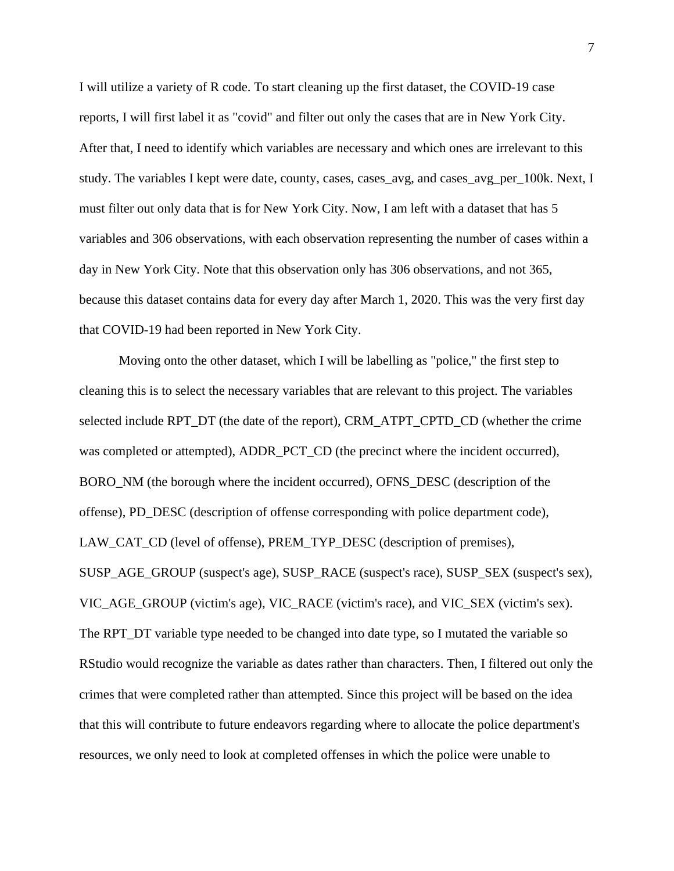I will utilize a variety of R code. To start cleaning up the first dataset, the COVID-19 case reports, I will first label it as "covid" and filter out only the cases that are in New York City. After that, I need to identify which variables are necessary and which ones are irrelevant to this study. The variables I kept were date, county, cases, cases\_avg, and cases\_avg\_per\_100k. Next, I must filter out only data that is for New York City. Now, I am left with a dataset that has 5 variables and 306 observations, with each observation representing the number of cases within a day in New York City. Note that this observation only has 306 observations, and not 365, because this dataset contains data for every day after March 1, 2020. This was the very first day that COVID-19 had been reported in New York City.

Moving onto the other dataset, which I will be labelling as "police," the first step to cleaning this is to select the necessary variables that are relevant to this project. The variables selected include RPT\_DT (the date of the report), CRM\_ATPT\_CPTD\_CD (whether the crime was completed or attempted), ADDR\_PCT\_CD (the precinct where the incident occurred), BORO\_NM (the borough where the incident occurred), OFNS\_DESC (description of the offense), PD\_DESC (description of offense corresponding with police department code), LAW\_CAT\_CD (level of offense), PREM\_TYP\_DESC (description of premises), SUSP\_AGE\_GROUP (suspect's age), SUSP\_RACE (suspect's race), SUSP\_SEX (suspect's sex), VIC\_AGE\_GROUP (victim's age), VIC\_RACE (victim's race), and VIC\_SEX (victim's sex). The RPT\_DT variable type needed to be changed into date type, so I mutated the variable so RStudio would recognize the variable as dates rather than characters. Then, I filtered out only the crimes that were completed rather than attempted. Since this project will be based on the idea that this will contribute to future endeavors regarding where to allocate the police department's resources, we only need to look at completed offenses in which the police were unable to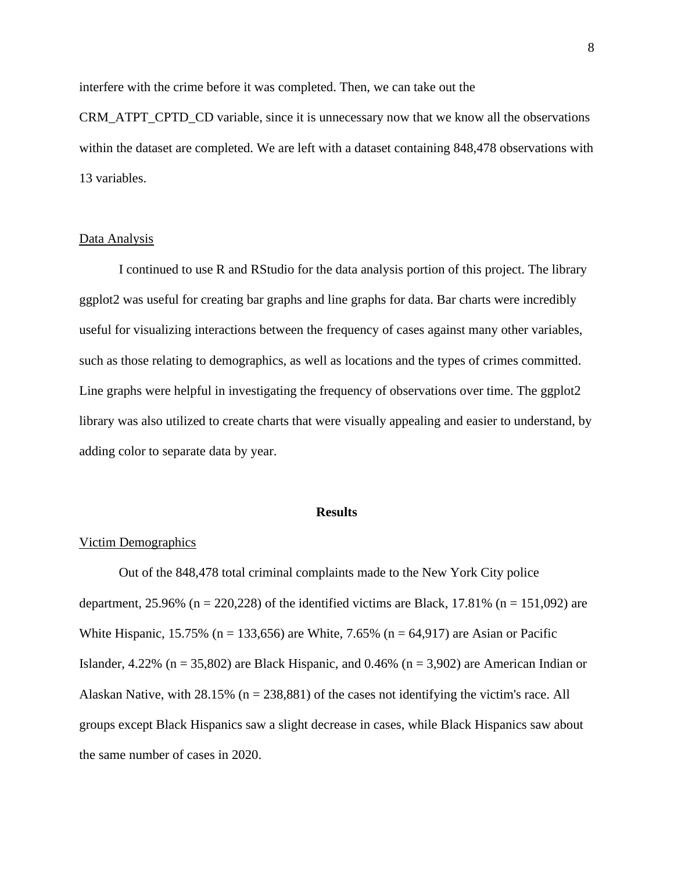interfere with the crime before it was completed. Then, we can take out the

CRM\_ATPT\_CPTD\_CD variable, since it is unnecessary now that we know all the observations within the dataset are completed. We are left with a dataset containing 848,478 observations with 13 variables.

# Data Analysis

I continued to use R and RStudio for the data analysis portion of this project. The library ggplot2 was useful for creating bar graphs and line graphs for data. Bar charts were incredibly useful for visualizing interactions between the frequency of cases against many other variables, such as those relating to demographics, as well as locations and the types of crimes committed. Line graphs were helpful in investigating the frequency of observations over time. The ggplot2 library was also utilized to create charts that were visually appealing and easier to understand, by adding color to separate data by year.

### **Results**

### Victim Demographics

Out of the 848,478 total criminal complaints made to the New York City police department, 25.96% (n = 220,228) of the identified victims are Black, 17.81% (n = 151,092) are White Hispanic, 15.75% (n = 133,656) are White, 7.65% (n = 64,917) are Asian or Pacific Islander,  $4.22\%$  (n = 35,802) are Black Hispanic, and 0.46% (n = 3,902) are American Indian or Alaskan Native, with  $28.15\%$  (n = 238,881) of the cases not identifying the victim's race. All groups except Black Hispanics saw a slight decrease in cases, while Black Hispanics saw about the same number of cases in 2020.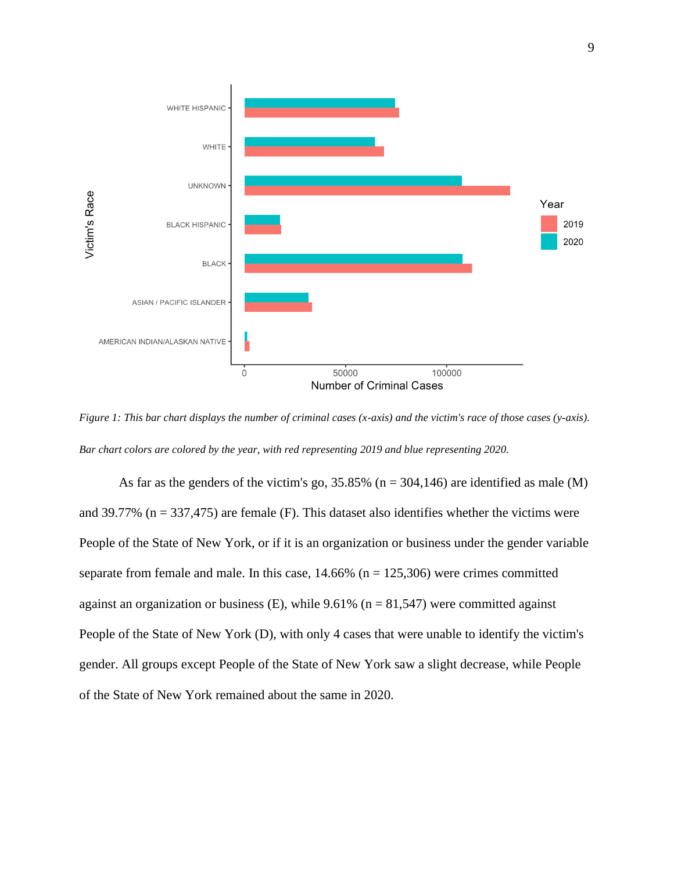

*Figure 1: This bar chart displays the number of criminal cases (x-axis) and the victim's race of those cases (y-axis). Bar chart colors are colored by the year, with red representing 2019 and blue representing 2020.*

As far as the genders of the victim's go,  $35.85\%$  (n = 304,146) are identified as male (M) and 39.77% ( $n = 337,475$ ) are female (F). This dataset also identifies whether the victims were People of the State of New York, or if it is an organization or business under the gender variable separate from female and male. In this case,  $14.66\%$  (n = 125,306) were crimes committed against an organization or business (E), while  $9.61\%$  (n = 81,547) were committed against People of the State of New York (D), with only 4 cases that were unable to identify the victim's gender. All groups except People of the State of New York saw a slight decrease, while People of the State of New York remained about the same in 2020.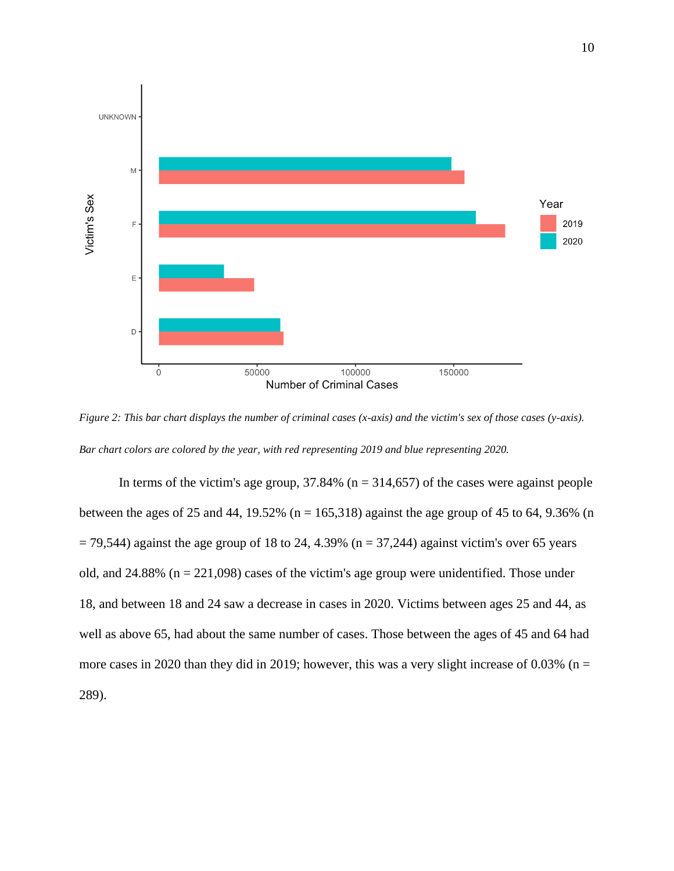

*Figure 2: This bar chart displays the number of criminal cases (x-axis) and the victim's sex of those cases (y-axis). Bar chart colors are colored by the year, with red representing 2019 and blue representing 2020.*

In terms of the victim's age group,  $37.84\%$  (n = 314,657) of the cases were against people between the ages of 25 and 44, 19.52% ( $n = 165,318$ ) against the age group of 45 to 64, 9.36% (n  $= 79,544$ ) against the age group of 18 to 24, 4.39% (n = 37,244) against victim's over 65 years old, and  $24.88\%$  ( $n = 221,098$ ) cases of the victim's age group were unidentified. Those under 18, and between 18 and 24 saw a decrease in cases in 2020. Victims between ages 25 and 44, as well as above 65, had about the same number of cases. Those between the ages of 45 and 64 had more cases in 2020 than they did in 2019; however, this was a very slight increase of 0.03% ( $n =$ 289).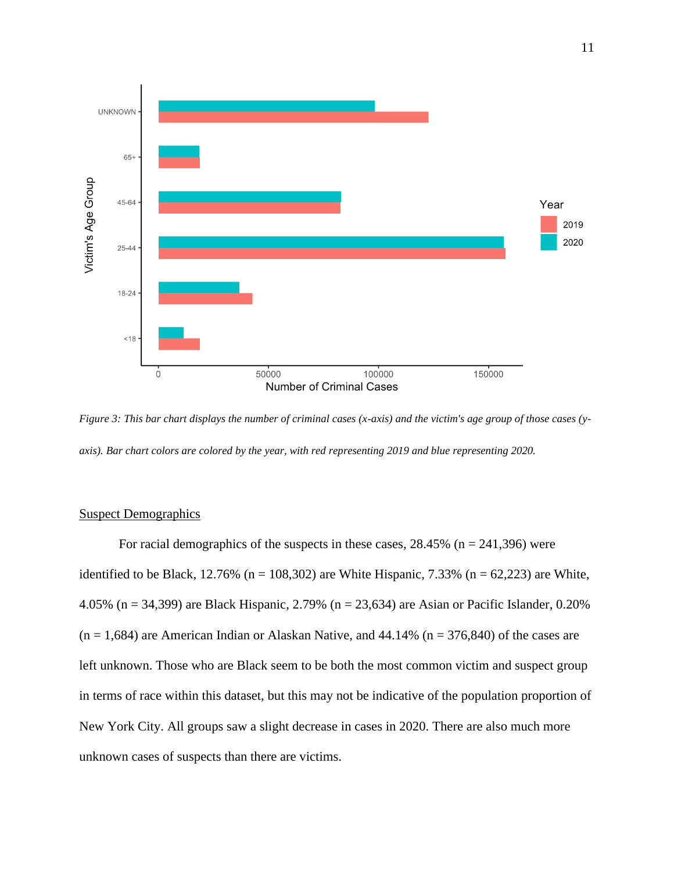

*Figure 3: This bar chart displays the number of criminal cases (x-axis) and the victim's age group of those cases (yaxis). Bar chart colors are colored by the year, with red representing 2019 and blue representing 2020.*

# Suspect Demographics

For racial demographics of the suspects in these cases,  $28.45\%$  (n = 241,396) were identified to be Black, 12.76% (n = 108,302) are White Hispanic, 7.33% (n = 62,223) are White, 4.05% (n = 34,399) are Black Hispanic, 2.79% (n = 23,634) are Asian or Pacific Islander, 0.20%  $(n = 1,684)$  are American Indian or Alaskan Native, and 44.14%  $(n = 376,840)$  of the cases are left unknown. Those who are Black seem to be both the most common victim and suspect group in terms of race within this dataset, but this may not be indicative of the population proportion of New York City. All groups saw a slight decrease in cases in 2020. There are also much more unknown cases of suspects than there are victims.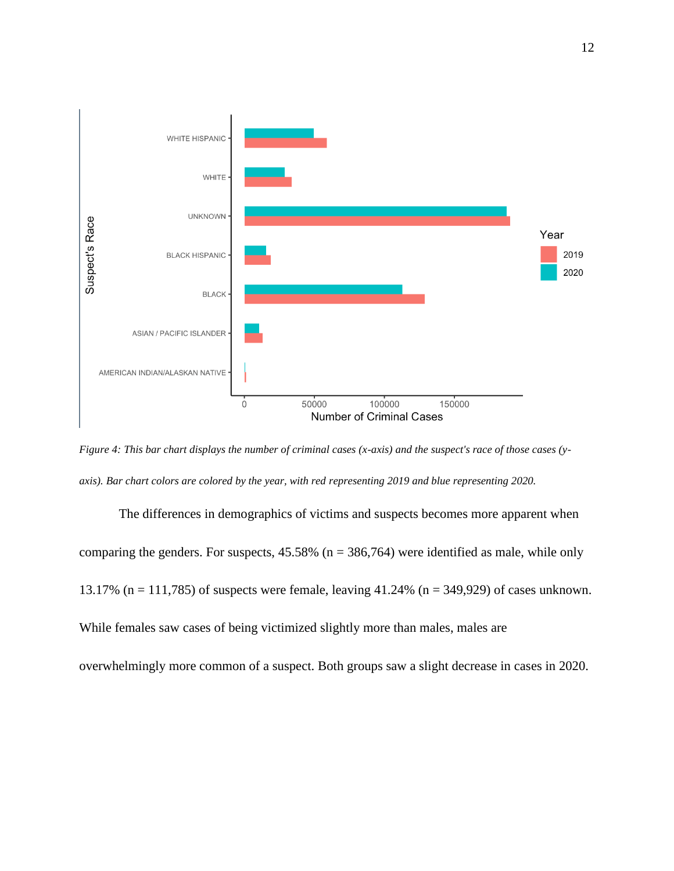

*Figure 4: This bar chart displays the number of criminal cases (x-axis) and the suspect's race of those cases (yaxis). Bar chart colors are colored by the year, with red representing 2019 and blue representing 2020.*

The differences in demographics of victims and suspects becomes more apparent when comparing the genders. For suspects,  $45.58\%$  (n = 386,764) were identified as male, while only 13.17% (n = 111,785) of suspects were female, leaving 41.24% (n = 349,929) of cases unknown. While females saw cases of being victimized slightly more than males, males are overwhelmingly more common of a suspect. Both groups saw a slight decrease in cases in 2020.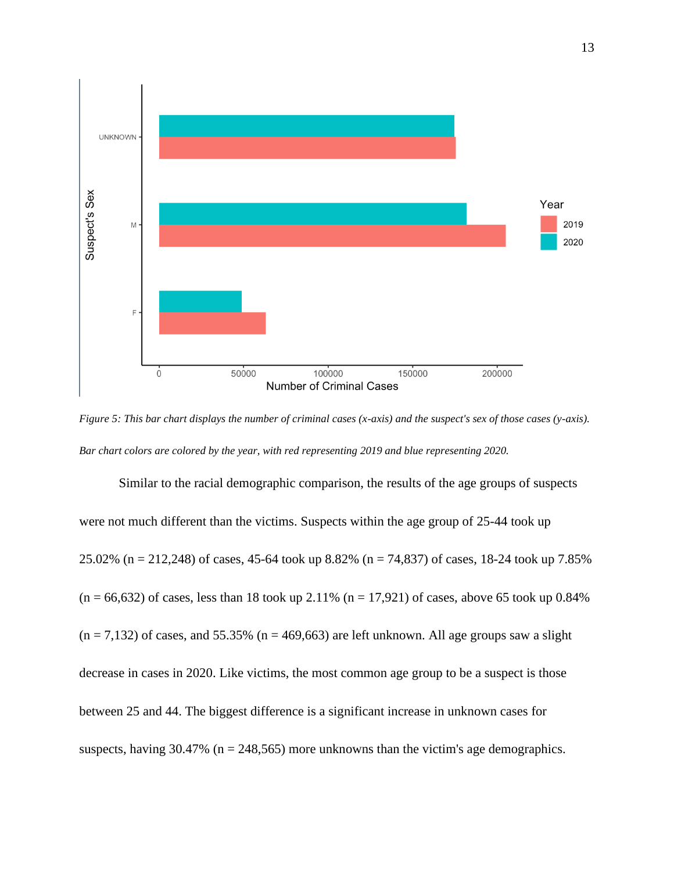

*Figure 5: This bar chart displays the number of criminal cases (x-axis) and the suspect's sex of those cases (y-axis). Bar chart colors are colored by the year, with red representing 2019 and blue representing 2020.*

Similar to the racial demographic comparison, the results of the age groups of suspects were not much different than the victims. Suspects within the age group of 25-44 took up 25.02% (n = 212,248) of cases, 45-64 took up 8.82% (n = 74,837) of cases, 18-24 took up 7.85%  $(n = 66,632)$  of cases, less than 18 took up 2.11%  $(n = 17,921)$  of cases, above 65 took up 0.84%  $(n = 7,132)$  of cases, and 55.35%  $(n = 469,663)$  are left unknown. All age groups saw a slight decrease in cases in 2020. Like victims, the most common age group to be a suspect is those between 25 and 44. The biggest difference is a significant increase in unknown cases for suspects, having  $30.47\%$  (n = 248,565) more unknowns than the victim's age demographics.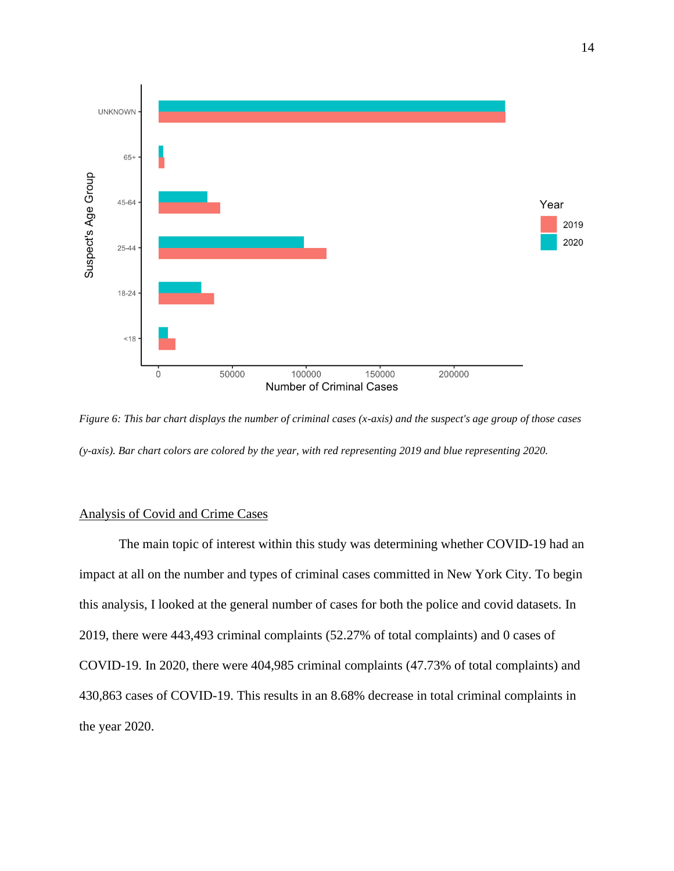

*Figure 6: This bar chart displays the number of criminal cases (x-axis) and the suspect's age group of those cases (y-axis). Bar chart colors are colored by the year, with red representing 2019 and blue representing 2020.*

# Analysis of Covid and Crime Cases

The main topic of interest within this study was determining whether COVID-19 had an impact at all on the number and types of criminal cases committed in New York City. To begin this analysis, I looked at the general number of cases for both the police and covid datasets. In 2019, there were 443,493 criminal complaints (52.27% of total complaints) and 0 cases of COVID-19. In 2020, there were 404,985 criminal complaints (47.73% of total complaints) and 430,863 cases of COVID-19. This results in an 8.68% decrease in total criminal complaints in the year 2020.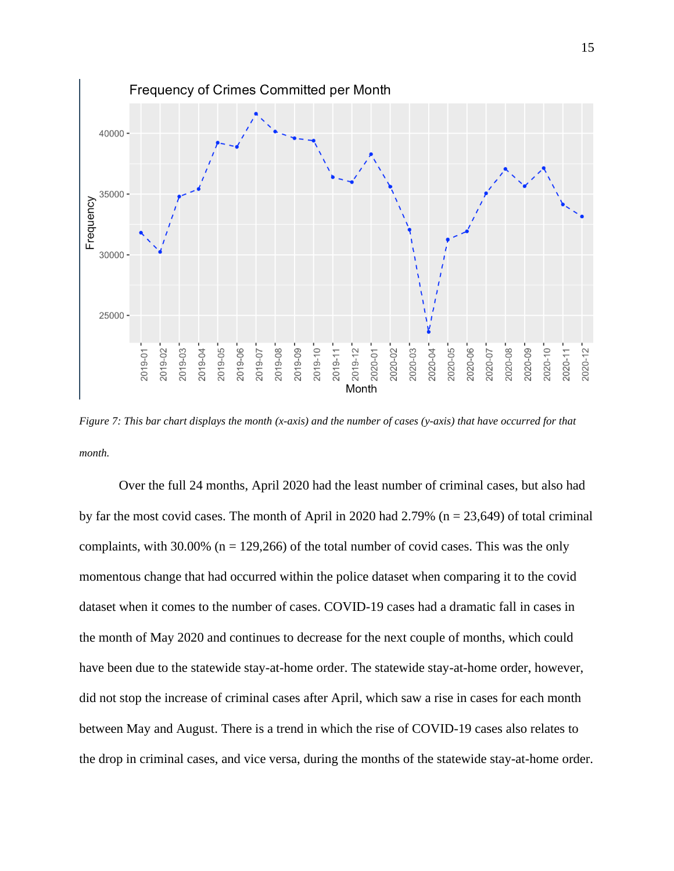

*Figure 7: This bar chart displays the month (x-axis) and the number of cases (y-axis) that have occurred for that month.*

Over the full 24 months, April 2020 had the least number of criminal cases, but also had by far the most covid cases. The month of April in 2020 had  $2.79\%$  (n = 23,649) of total criminal complaints, with 30.00% ( $n = 129,266$ ) of the total number of covid cases. This was the only momentous change that had occurred within the police dataset when comparing it to the covid dataset when it comes to the number of cases. COVID-19 cases had a dramatic fall in cases in the month of May 2020 and continues to decrease for the next couple of months, which could have been due to the statewide stay-at-home order. The statewide stay-at-home order, however, did not stop the increase of criminal cases after April, which saw a rise in cases for each month between May and August. There is a trend in which the rise of COVID-19 cases also relates to the drop in criminal cases, and vice versa, during the months of the statewide stay-at-home order.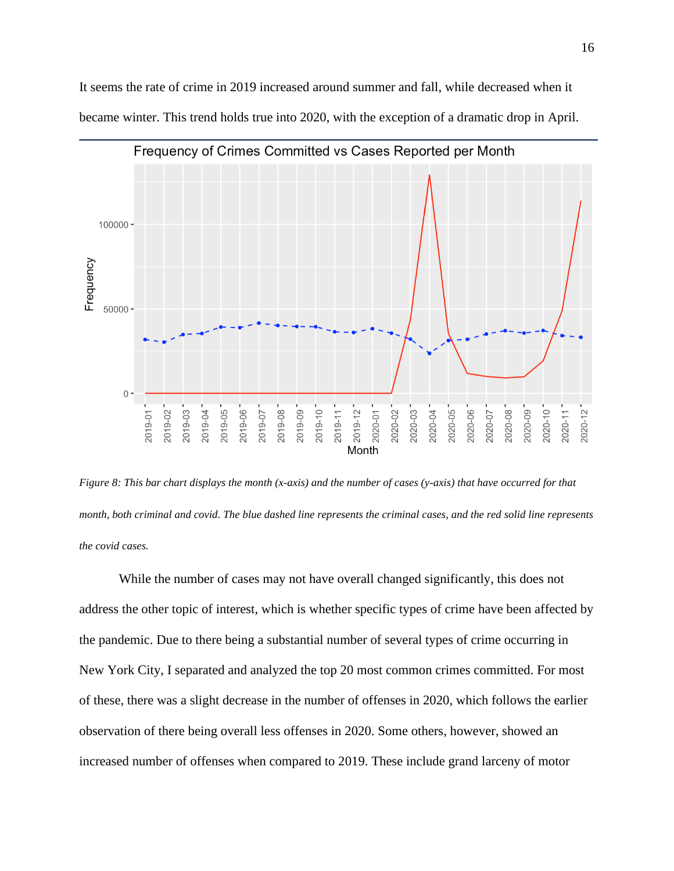

It seems the rate of crime in 2019 increased around summer and fall, while decreased when it became winter. This trend holds true into 2020, with the exception of a dramatic drop in April.

*Figure 8: This bar chart displays the month (x-axis) and the number of cases (y-axis) that have occurred for that month, both criminal and covid. The blue dashed line represents the criminal cases, and the red solid line represents the covid cases.*

While the number of cases may not have overall changed significantly, this does not address the other topic of interest, which is whether specific types of crime have been affected by the pandemic. Due to there being a substantial number of several types of crime occurring in New York City, I separated and analyzed the top 20 most common crimes committed. For most of these, there was a slight decrease in the number of offenses in 2020, which follows the earlier observation of there being overall less offenses in 2020. Some others, however, showed an increased number of offenses when compared to 2019. These include grand larceny of motor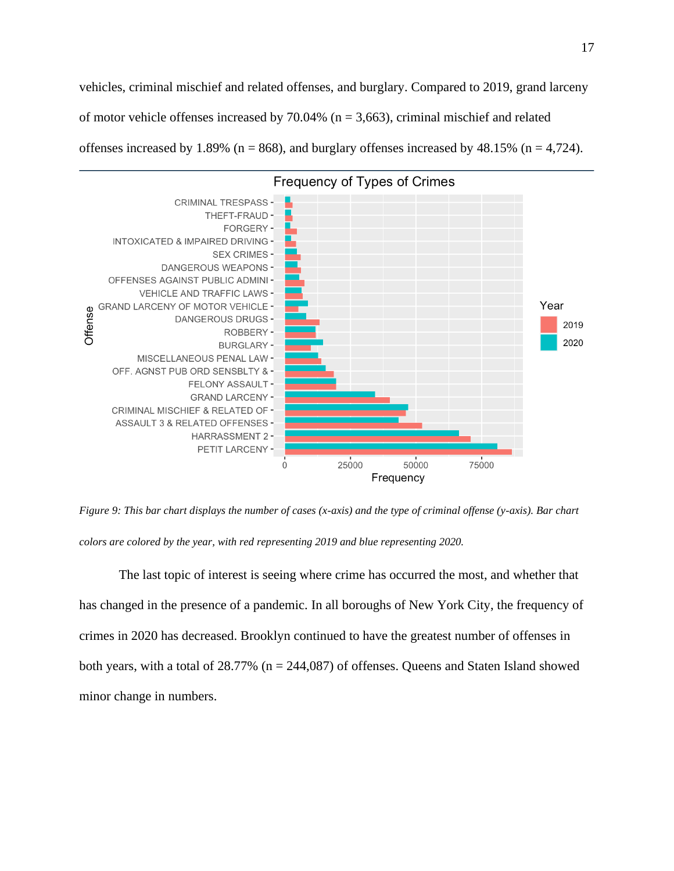vehicles, criminal mischief and related offenses, and burglary. Compared to 2019, grand larceny of motor vehicle offenses increased by  $70.04\%$  (n = 3,663), criminal mischief and related offenses increased by 1.89% ( $n = 868$ ), and burglary offenses increased by 48.15% ( $n = 4,724$ ).



*Figure 9: This bar chart displays the number of cases (x-axis) and the type of criminal offense (y-axis). Bar chart colors are colored by the year, with red representing 2019 and blue representing 2020.*

The last topic of interest is seeing where crime has occurred the most, and whether that has changed in the presence of a pandemic. In all boroughs of New York City, the frequency of crimes in 2020 has decreased. Brooklyn continued to have the greatest number of offenses in both years, with a total of  $28.77\%$  (n =  $244,087$ ) of offenses. Queens and Staten Island showed minor change in numbers.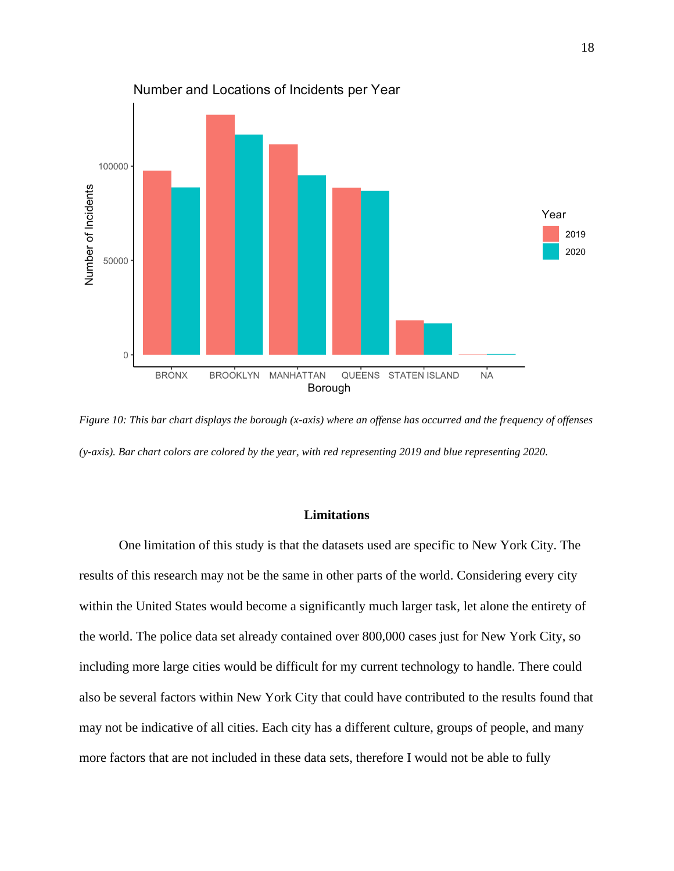

*Figure 10: This bar chart displays the borough (x-axis) where an offense has occurred and the frequency of offenses (y-axis). Bar chart colors are colored by the year, with red representing 2019 and blue representing 2020.*

# **Limitations**

One limitation of this study is that the datasets used are specific to New York City. The results of this research may not be the same in other parts of the world. Considering every city within the United States would become a significantly much larger task, let alone the entirety of the world. The police data set already contained over 800,000 cases just for New York City, so including more large cities would be difficult for my current technology to handle. There could also be several factors within New York City that could have contributed to the results found that may not be indicative of all cities. Each city has a different culture, groups of people, and many more factors that are not included in these data sets, therefore I would not be able to fully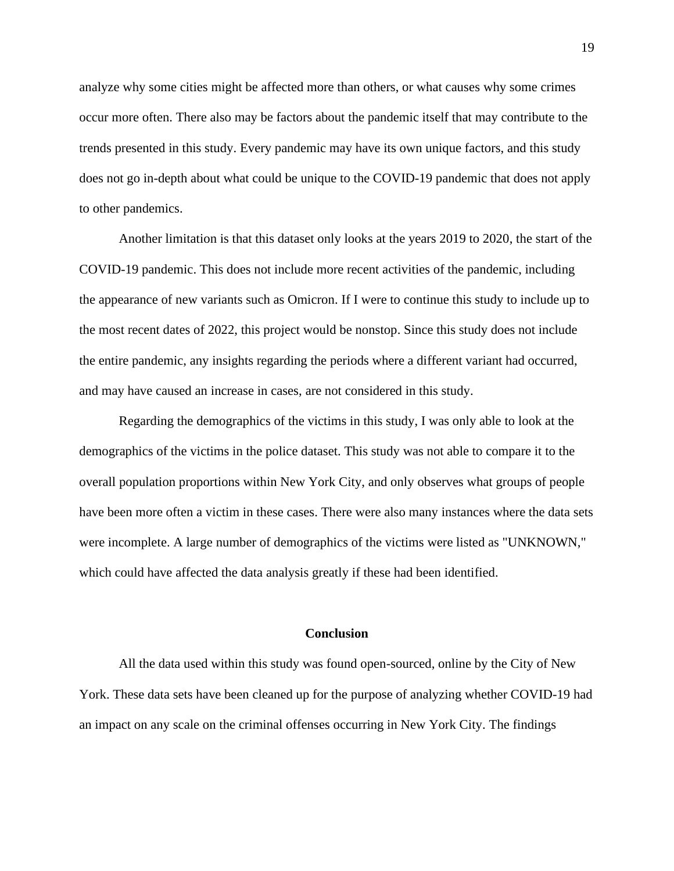analyze why some cities might be affected more than others, or what causes why some crimes occur more often. There also may be factors about the pandemic itself that may contribute to the trends presented in this study. Every pandemic may have its own unique factors, and this study does not go in-depth about what could be unique to the COVID-19 pandemic that does not apply to other pandemics.

Another limitation is that this dataset only looks at the years 2019 to 2020, the start of the COVID-19 pandemic. This does not include more recent activities of the pandemic, including the appearance of new variants such as Omicron. If I were to continue this study to include up to the most recent dates of 2022, this project would be nonstop. Since this study does not include the entire pandemic, any insights regarding the periods where a different variant had occurred, and may have caused an increase in cases, are not considered in this study.

Regarding the demographics of the victims in this study, I was only able to look at the demographics of the victims in the police dataset. This study was not able to compare it to the overall population proportions within New York City, and only observes what groups of people have been more often a victim in these cases. There were also many instances where the data sets were incomplete. A large number of demographics of the victims were listed as "UNKNOWN," which could have affected the data analysis greatly if these had been identified.

#### **Conclusion**

All the data used within this study was found open-sourced, online by the City of New York. These data sets have been cleaned up for the purpose of analyzing whether COVID-19 had an impact on any scale on the criminal offenses occurring in New York City. The findings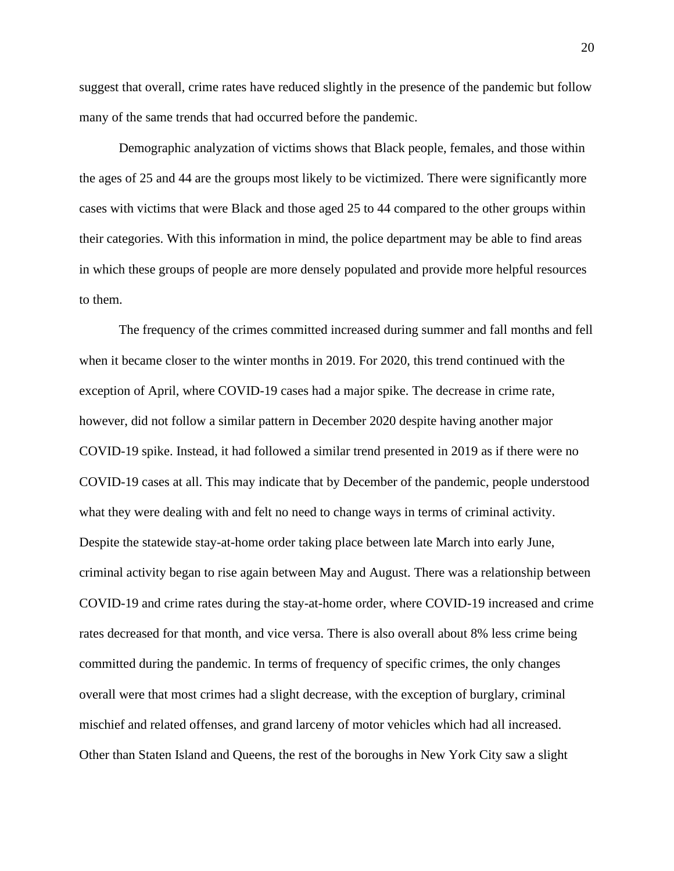suggest that overall, crime rates have reduced slightly in the presence of the pandemic but follow many of the same trends that had occurred before the pandemic.

Demographic analyzation of victims shows that Black people, females, and those within the ages of 25 and 44 are the groups most likely to be victimized. There were significantly more cases with victims that were Black and those aged 25 to 44 compared to the other groups within their categories. With this information in mind, the police department may be able to find areas in which these groups of people are more densely populated and provide more helpful resources to them.

The frequency of the crimes committed increased during summer and fall months and fell when it became closer to the winter months in 2019. For 2020, this trend continued with the exception of April, where COVID-19 cases had a major spike. The decrease in crime rate, however, did not follow a similar pattern in December 2020 despite having another major COVID-19 spike. Instead, it had followed a similar trend presented in 2019 as if there were no COVID-19 cases at all. This may indicate that by December of the pandemic, people understood what they were dealing with and felt no need to change ways in terms of criminal activity. Despite the statewide stay-at-home order taking place between late March into early June, criminal activity began to rise again between May and August. There was a relationship between COVID-19 and crime rates during the stay-at-home order, where COVID-19 increased and crime rates decreased for that month, and vice versa. There is also overall about 8% less crime being committed during the pandemic. In terms of frequency of specific crimes, the only changes overall were that most crimes had a slight decrease, with the exception of burglary, criminal mischief and related offenses, and grand larceny of motor vehicles which had all increased. Other than Staten Island and Queens, the rest of the boroughs in New York City saw a slight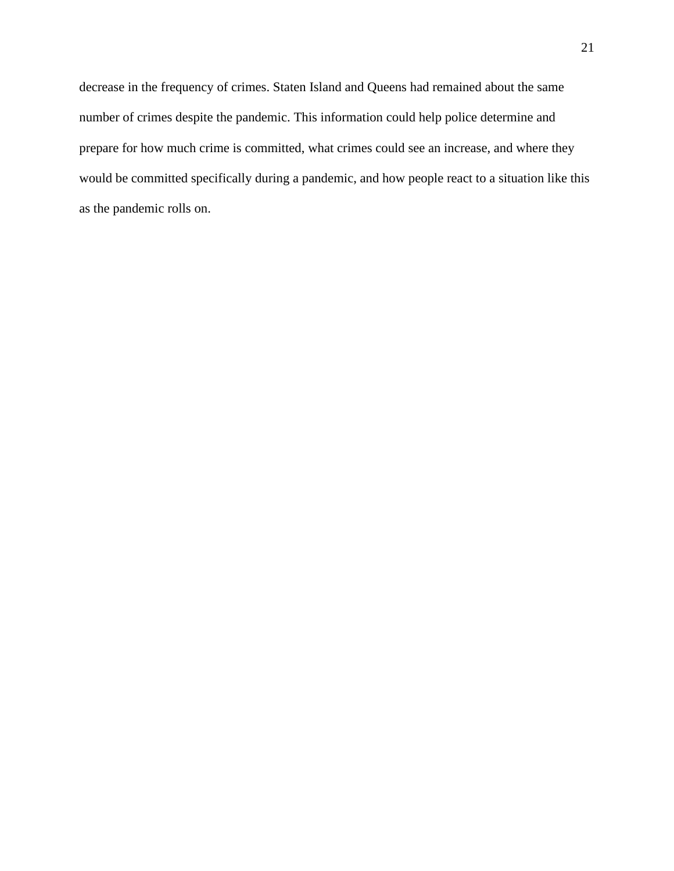decrease in the frequency of crimes. Staten Island and Queens had remained about the same number of crimes despite the pandemic. This information could help police determine and prepare for how much crime is committed, what crimes could see an increase, and where they would be committed specifically during a pandemic, and how people react to a situation like this as the pandemic rolls on.